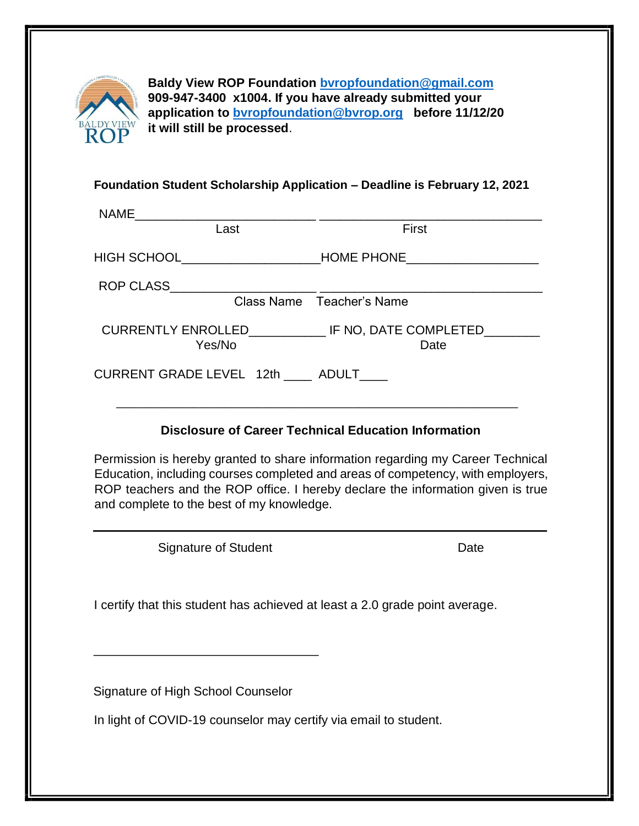

**Baldy View ROP Foundation [bvropfoundation@gmail.com](mailto:bvropfoundation@gmail.com) 909-947-3400 x1004. If you have already submitted your application to bvropfoundation@bvrop.org before 11/12/20 it will still be processed**.

#### **Foundation Student Scholarship Application – Deadline is February 12, 2021**

| Last                                                                                                                                                                                                                                                                                               | First                                                                             |
|----------------------------------------------------------------------------------------------------------------------------------------------------------------------------------------------------------------------------------------------------------------------------------------------------|-----------------------------------------------------------------------------------|
|                                                                                                                                                                                                                                                                                                    |                                                                                   |
|                                                                                                                                                                                                                                                                                                    |                                                                                   |
|                                                                                                                                                                                                                                                                                                    | Class Name Teacher's Name                                                         |
| Yes/No                                                                                                                                                                                                                                                                                             | CURRENTLY ENROLLED______________________ IF NO, DATE COMPLETED___________<br>Date |
| CURRENT GRADE LEVEL 12th _____ ADULT____                                                                                                                                                                                                                                                           |                                                                                   |
| <b>Disclosure of Career Technical Education Information</b>                                                                                                                                                                                                                                        |                                                                                   |
| Permission is hereby granted to share information regarding my Career Technical<br>Education, including courses completed and areas of competency, with employers,<br>ROP teachers and the ROP office. I hereby declare the information given is true<br>and complete to the best of my knowledge. |                                                                                   |
|                                                                                                                                                                                                                                                                                                    |                                                                                   |

Signature of Student North Contract Contract Date

I certify that this student has achieved at least a 2.0 grade point average.

Signature of High School Counselor

In light of COVID-19 counselor may certify via email to student.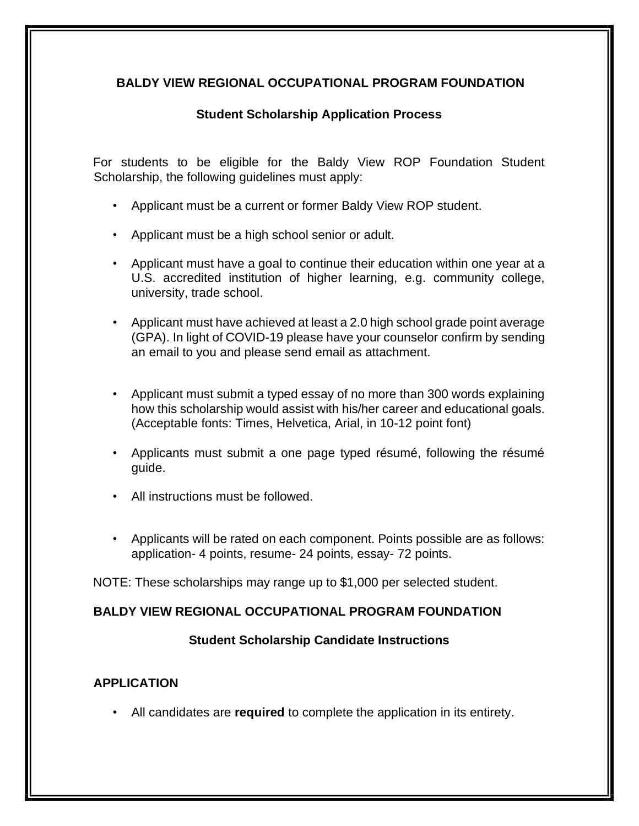## **BALDY VIEW REGIONAL OCCUPATIONAL PROGRAM FOUNDATION**

## **Student Scholarship Application Process**

For students to be eligible for the Baldy View ROP Foundation Student Scholarship, the following guidelines must apply:

- Applicant must be a current or former Baldy View ROP student.
- Applicant must be a high school senior or adult.
- Applicant must have a goal to continue their education within one year at a U.S. accredited institution of higher learning, e.g. community college, university, trade school.
- Applicant must have achieved at least a 2.0 high school grade point average (GPA). In light of COVID-19 please have your counselor confirm by sending an email to you and please send email as attachment.
- Applicant must submit a typed essay of no more than 300 words explaining how this scholarship would assist with his/her career and educational goals. (Acceptable fonts: Times, Helvetica, Arial, in 10-12 point font)
- Applicants must submit a one page typed résumé, following the résumé guide.
- All instructions must be followed.
- Applicants will be rated on each component. Points possible are as follows: application- 4 points, resume- 24 points, essay- 72 points.

NOTE: These scholarships may range up to \$1,000 per selected student.

#### **BALDY VIEW REGIONAL OCCUPATIONAL PROGRAM FOUNDATION**

#### **Student Scholarship Candidate Instructions**

#### **APPLICATION**

• All candidates are **required** to complete the application in its entirety.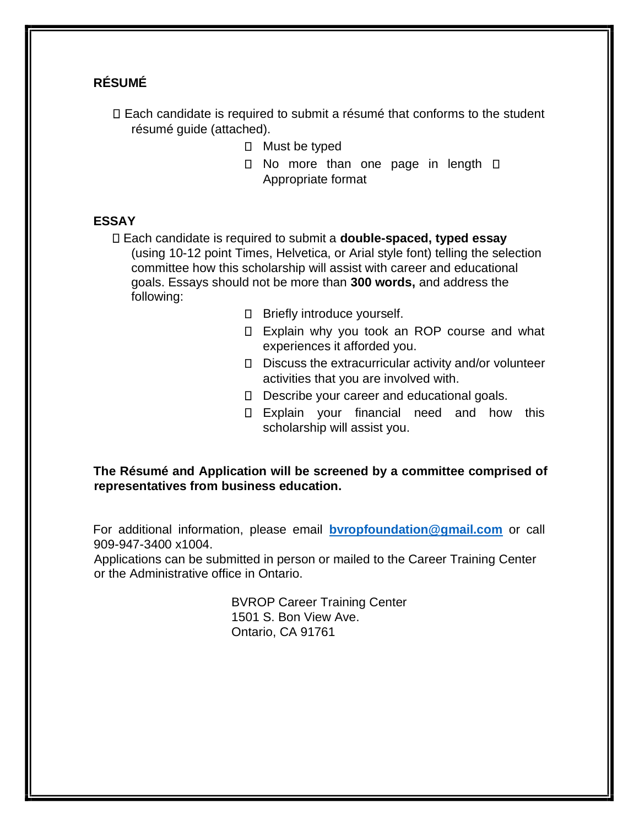## **RÉSUMÉ**

Each candidate is required to submit a résumé that conforms to the student résumé guide (attached).

- $\Box$  Must be typed
- $\Box$  No more than one page in length  $\Box$ Appropriate format

## **ESSAY**

Each candidate is required to submit a **double-spaced, typed essay**  (using 10-12 point Times, Helvetica, or Arial style font) telling the selection committee how this scholarship will assist with career and educational goals. Essays should not be more than **300 words,** and address the following:

- □ Briefly introduce yourself.
- □ Explain why you took an ROP course and what experiences it afforded you.
- Discuss the extracurricular activity and/or volunteer activities that you are involved with.
- D Describe your career and educational goals.
- Explain your financial need and how this scholarship will assist you.

**The Résumé and Application will be screened by a committee comprised of representatives from business education.** 

For additional information, please email **[bvropfoundation@gmail.com](mailto:bvropfoundation@gmail.com)** or call 909-947-3400 x1004.

Applications can be submitted in person or mailed to the Career Training Center or the Administrative office in Ontario.

> BVROP Career Training Center 1501 S. Bon View Ave. Ontario, CA 91761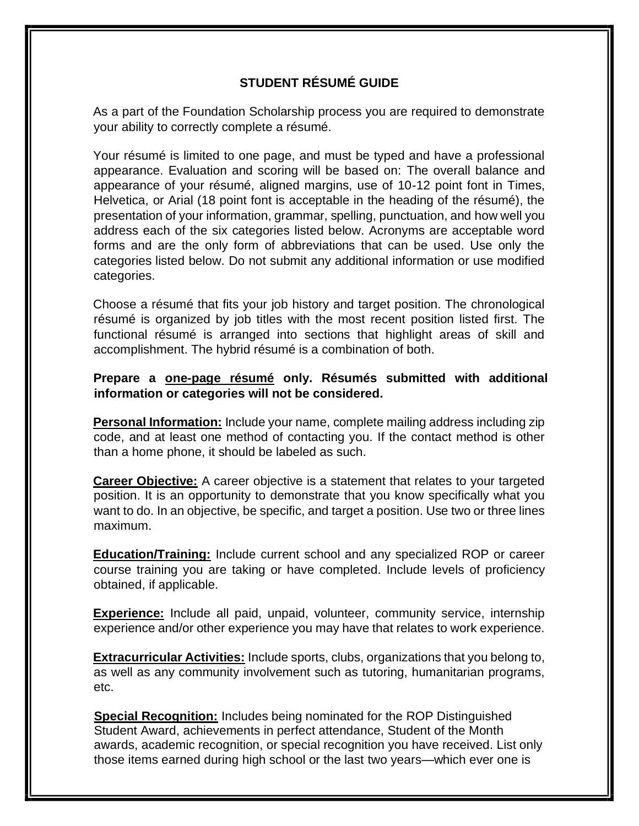# **STUDENT RÉSUMÉ GUIDE**

As a part of the Foundation Scholarship process you are required to demonstrate your ability to correctly complete a résumé.

Your résumé is limited to one page, and must be typed and have a professional appearance. Evaluation and scoring will be based on: The overall balance and appearance of your résumé, aligned margins, use of 10-12 point font in Times, Helvetica, or Arial (18 point font is acceptable in the heading of the résumé), the presentation of your information, grammar, spelling, punctuation, and how well you address each of the six categories listed below. Acronyms are acceptable word forms and are the only form of abbreviations that can be used. Use only the categories listed below. Do not submit any additional information or use modified categories.

Choose a résumé that fits your job history and target position. The chronological résumé is organized by job titles with the most recent position listed first. The functional résumé is arranged into sections that highlight areas of skill and accomplishment. The hybrid résumé is a combination of both.

## **Prepare a one-page résumé only. Résumés submitted with additional information or categories will not be considered.**

**Personal Information:** Include your name, complete mailing address including zip code, and at least one method of contacting you. If the contact method is other than a home phone, it should be labeled as such.

**Career Objective:** A career objective is a statement that relates to your targeted position. It is an opportunity to demonstrate that you know specifically what you want to do. In an objective, be specific, and target a position. Use two or three lines maximum.

**Education/Training:** Include current school and any specialized ROP or career course training you are taking or have completed. Include levels of proficiency obtained, if applicable.

**Experience:** Include all paid, unpaid, volunteer, community service, internship experience and/or other experience you may have that relates to work experience.

**Extracurricular Activities:** Include sports, clubs, organizations that you belong to, as well as any community involvement such as tutoring, humanitarian programs, etc.

**Special Recognition:** Includes being nominated for the ROP Distinguished Student Award, achievements in perfect attendance, Student of the Month awards, academic recognition, or special recognition you have received. List only those items earned during high school or the last two years—which ever one is